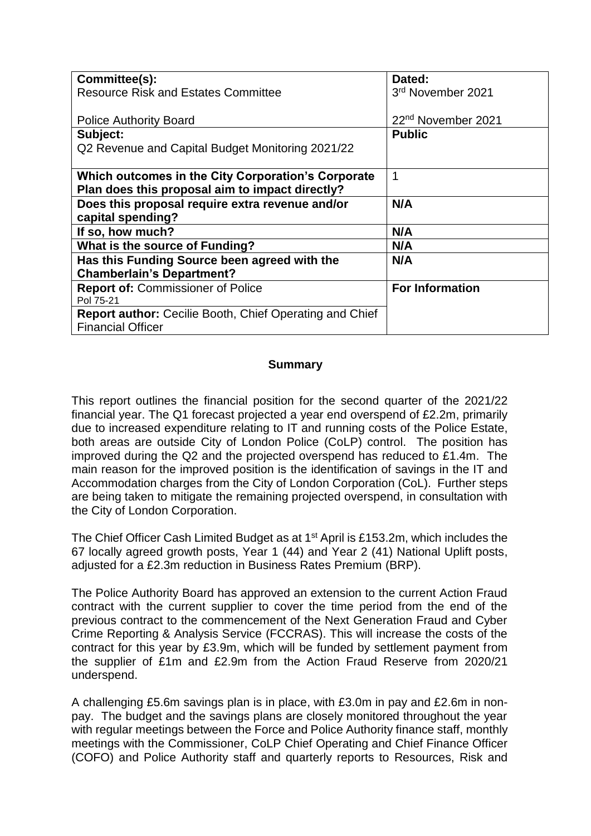| Committee(s):                                           | Dated:                         |
|---------------------------------------------------------|--------------------------------|
| <b>Resource Risk and Estates Committee</b>              | 3rd November 2021              |
|                                                         |                                |
| <b>Police Authority Board</b>                           | 22 <sup>nd</sup> November 2021 |
| Subject:                                                | <b>Public</b>                  |
| Q2 Revenue and Capital Budget Monitoring 2021/22        |                                |
|                                                         |                                |
| Which outcomes in the City Corporation's Corporate      | 1                              |
| Plan does this proposal aim to impact directly?         |                                |
| Does this proposal require extra revenue and/or         | N/A                            |
| capital spending?                                       |                                |
| If so, how much?                                        | N/A                            |
| What is the source of Funding?                          | N/A                            |
| Has this Funding Source been agreed with the            | N/A                            |
| <b>Chamberlain's Department?</b>                        |                                |
| <b>Report of: Commissioner of Police</b>                | <b>For Information</b>         |
| Pol 75-21                                               |                                |
| Report author: Cecilie Booth, Chief Operating and Chief |                                |
| <b>Financial Officer</b>                                |                                |

#### **Summary**

This report outlines the financial position for the second quarter of the 2021/22 financial year. The Q1 forecast projected a year end overspend of £2.2m, primarily due to increased expenditure relating to IT and running costs of the Police Estate, both areas are outside City of London Police (CoLP) control. The position has improved during the Q2 and the projected overspend has reduced to £1.4m. The main reason for the improved position is the identification of savings in the IT and Accommodation charges from the City of London Corporation (CoL). Further steps are being taken to mitigate the remaining projected overspend, in consultation with the City of London Corporation.

The Chief Officer Cash Limited Budget as at 1<sup>st</sup> April is £153.2m, which includes the 67 locally agreed growth posts, Year 1 (44) and Year 2 (41) National Uplift posts, adjusted for a £2.3m reduction in Business Rates Premium (BRP).

The Police Authority Board has approved an extension to the current Action Fraud contract with the current supplier to cover the time period from the end of the previous contract to the commencement of the Next Generation Fraud and Cyber Crime Reporting & Analysis Service (FCCRAS). This will increase the costs of the contract for this year by £3.9m, which will be funded by settlement payment from the supplier of £1m and £2.9m from the Action Fraud Reserve from 2020/21 underspend.

A challenging £5.6m savings plan is in place, with £3.0m in pay and £2.6m in nonpay. The budget and the savings plans are closely monitored throughout the year with regular meetings between the Force and Police Authority finance staff, monthly meetings with the Commissioner, CoLP Chief Operating and Chief Finance Officer (COFO) and Police Authority staff and quarterly reports to Resources, Risk and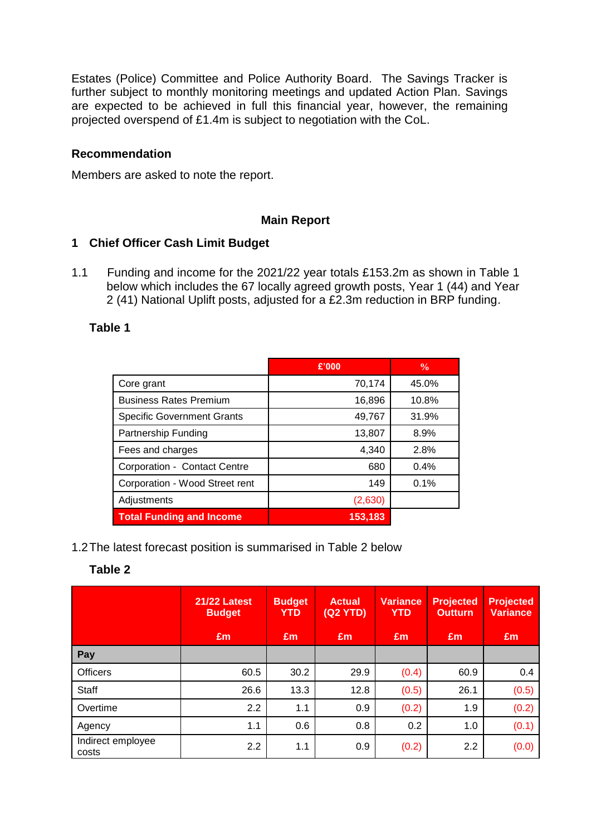Estates (Police) Committee and Police Authority Board. The Savings Tracker is further subject to monthly monitoring meetings and updated Action Plan. Savings are expected to be achieved in full this financial year, however, the remaining projected overspend of £1.4m is subject to negotiation with the CoL.

#### **Recommendation**

Members are asked to note the report.

#### **Main Report**

#### **1 Chief Officer Cash Limit Budget**

1.1 Funding and income for the 2021/22 year totals £153.2m as shown in Table 1 below which includes the 67 locally agreed growth posts, Year 1 (44) and Year 2 (41) National Uplift posts, adjusted for a £2.3m reduction in BRP funding.

#### **Table 1**

|                                   | £'000   | $\frac{0}{0}$ |
|-----------------------------------|---------|---------------|
| Core grant                        | 70,174  | 45.0%         |
| <b>Business Rates Premium</b>     | 16,896  | 10.8%         |
| <b>Specific Government Grants</b> | 49,767  | 31.9%         |
| Partnership Funding               | 13,807  | 8.9%          |
| Fees and charges                  | 4,340   | 2.8%          |
| Corporation - Contact Centre      | 680     | 0.4%          |
| Corporation - Wood Street rent    | 149     | 0.1%          |
| Adjustments                       | (2,630) |               |
| <b>Total Funding and Income</b>   | 153,183 |               |

#### 1.2The latest forecast position is summarised in Table 2 below

## **Table 2**

|                            | <b>21/22 Latest</b><br><b>Budget</b> | <b>Budget</b><br><b>YTD</b> | <b>Actual</b><br>(Q2 YTD) | <b>Variance</b><br><b>YTD</b> | <b>Projected</b><br><b>Outturn</b> | <b>Projected</b><br><b>Variance</b> |
|----------------------------|--------------------------------------|-----------------------------|---------------------------|-------------------------------|------------------------------------|-------------------------------------|
|                            | Em                                   | Em                          | Em                        | Em                            | Em                                 | Em                                  |
| Pay                        |                                      |                             |                           |                               |                                    |                                     |
| <b>Officers</b>            | 60.5                                 | 30.2                        | 29.9                      | (0.4)                         | 60.9                               | 0.4                                 |
| <b>Staff</b>               | 26.6                                 | 13.3                        | 12.8                      | (0.5)                         | 26.1                               | (0.5)                               |
| Overtime                   | 2.2                                  | 1.1                         | 0.9                       | (0.2)                         | 1.9                                | (0.2)                               |
| Agency                     | 1.1                                  | 0.6                         | 0.8                       | 0.2                           | 1.0                                | (0.1)                               |
| Indirect employee<br>costs | 2.2                                  | 1.1                         | 0.9                       | (0.2)                         | 2.2                                | (0.0)                               |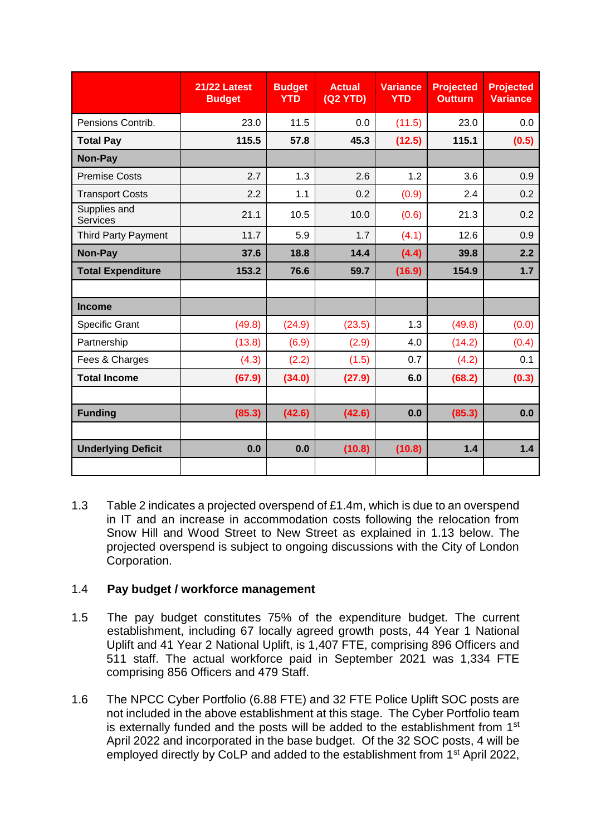|                                 | <b>21/22 Latest</b><br><b>Budget</b> | <b>Budget</b><br><b>YTD</b> | <b>Actual</b><br>(Q2 YTD) | <b>Variance</b><br><b>YTD</b> | <b>Projected</b><br><b>Outturn</b> | <b>Projected</b><br><b>Variance</b> |
|---------------------------------|--------------------------------------|-----------------------------|---------------------------|-------------------------------|------------------------------------|-------------------------------------|
| Pensions Contrib.               | 23.0                                 | 11.5                        | 0.0                       | (11.5)                        | 23.0                               | 0.0                                 |
| <b>Total Pay</b>                | 115.5                                | 57.8                        | 45.3                      | (12.5)                        | 115.1                              | (0.5)                               |
| Non-Pay                         |                                      |                             |                           |                               |                                    |                                     |
| <b>Premise Costs</b>            | 2.7                                  | 1.3                         | 2.6                       | 1.2                           | 3.6                                | 0.9                                 |
| <b>Transport Costs</b>          | 2.2                                  | 1.1                         | 0.2                       | (0.9)                         | 2.4                                | 0.2                                 |
| Supplies and<br><b>Services</b> | 21.1                                 | 10.5                        | 10.0                      | (0.6)                         | 21.3                               | 0.2                                 |
| <b>Third Party Payment</b>      | 11.7                                 | 5.9                         | 1.7                       | (4.1)                         | 12.6                               | 0.9                                 |
| Non-Pay                         | 37.6                                 | 18.8                        | 14.4                      | (4.4)                         | 39.8                               | 2.2                                 |
| <b>Total Expenditure</b>        | 153.2                                | 76.6                        | 59.7                      | (16.9)                        | 154.9                              | 1.7                                 |
|                                 |                                      |                             |                           |                               |                                    |                                     |
| <b>Income</b>                   |                                      |                             |                           |                               |                                    |                                     |
| <b>Specific Grant</b>           | (49.8)                               | (24.9)                      | (23.5)                    | 1.3                           | (49.8)                             | (0.0)                               |
| Partnership                     | (13.8)                               | (6.9)                       | (2.9)                     | 4.0                           | (14.2)                             | (0.4)                               |
| Fees & Charges                  | (4.3)                                | (2.2)                       | (1.5)                     | 0.7                           | (4.2)                              | 0.1                                 |
| <b>Total Income</b>             | (67.9)                               | (34.0)                      | (27.9)                    | 6.0                           | (68.2)                             | (0.3)                               |
|                                 |                                      |                             |                           |                               |                                    |                                     |
| <b>Funding</b>                  | (85.3)                               | (42.6)                      | (42.6)                    | 0.0                           | (85.3)                             | 0.0                                 |
|                                 |                                      |                             |                           |                               |                                    |                                     |
| <b>Underlying Deficit</b>       | 0.0                                  | 0.0                         | (10.8)                    | (10.8)                        | 1.4                                | 1.4                                 |

1.3 Table 2 indicates a projected overspend of £1.4m, which is due to an overspend in IT and an increase in accommodation costs following the relocation from Snow Hill and Wood Street to New Street as explained in 1.13 below. The projected overspend is subject to ongoing discussions with the City of London Corporation.

## 1.4 **Pay budget / workforce management**

- 1.5 The pay budget constitutes 75% of the expenditure budget. The current establishment, including 67 locally agreed growth posts, 44 Year 1 National Uplift and 41 Year 2 National Uplift, is 1,407 FTE, comprising 896 Officers and 511 staff. The actual workforce paid in September 2021 was 1,334 FTE comprising 856 Officers and 479 Staff.
- 1.6 The NPCC Cyber Portfolio (6.88 FTE) and 32 FTE Police Uplift SOC posts are not included in the above establishment at this stage. The Cyber Portfolio team is externally funded and the posts will be added to the establishment from  $1<sup>st</sup>$ April 2022 and incorporated in the base budget. Of the 32 SOC posts, 4 will be employed directly by CoLP and added to the establishment from 1<sup>st</sup> April 2022,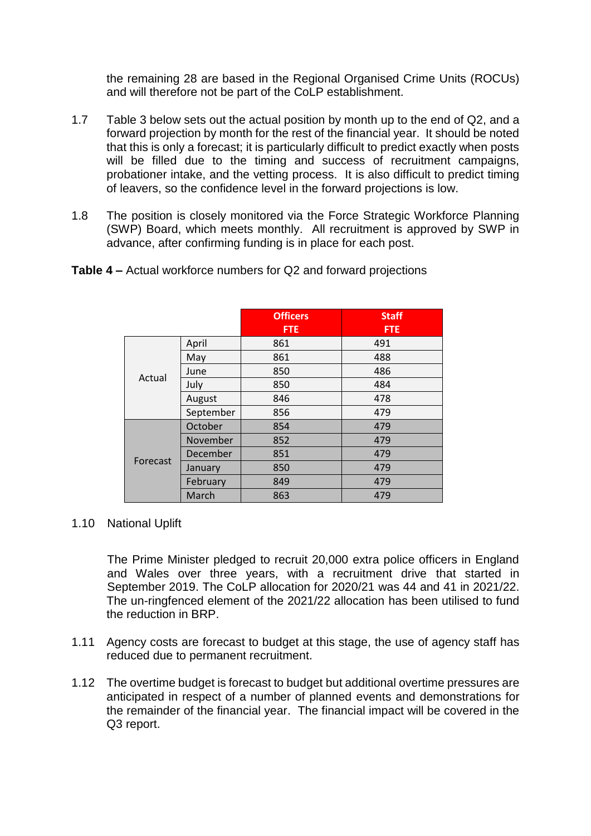the remaining 28 are based in the Regional Organised Crime Units (ROCUs) and will therefore not be part of the CoLP establishment.

- 1.7 Table 3 below sets out the actual position by month up to the end of Q2, and a forward projection by month for the rest of the financial year. It should be noted that this is only a forecast; it is particularly difficult to predict exactly when posts will be filled due to the timing and success of recruitment campaigns, probationer intake, and the vetting process. It is also difficult to predict timing of leavers, so the confidence level in the forward projections is low.
- 1.8 The position is closely monitored via the Force Strategic Workforce Planning (SWP) Board, which meets monthly. All recruitment is approved by SWP in advance, after confirming funding is in place for each post.

|          |           | <b>Officers</b><br><b>FTE</b> | <b>Staff</b><br><b>FTE</b> |
|----------|-----------|-------------------------------|----------------------------|
|          |           |                               |                            |
|          | April     | 861                           | 491                        |
|          | May       | 861                           | 488                        |
| Actual   | June      | 850                           | 486                        |
|          | July      | 850                           | 484                        |
|          | August    | 846                           | 478                        |
|          | September | 856                           | 479                        |
|          | October   | 854                           | 479                        |
|          | November  | 852                           | 479                        |
|          | December  | 851                           | 479                        |
| Forecast | January   | 850                           | 479                        |
|          | February  | 849                           | 479                        |
|          | March     | 863                           | 479                        |

**Table 4 –** Actual workforce numbers for Q2 and forward projections

#### 1.10 National Uplift

The Prime Minister pledged to recruit 20,000 extra police officers in England and Wales over three years, with a recruitment drive that started in September 2019. The CoLP allocation for 2020/21 was 44 and 41 in 2021/22. The un-ringfenced element of the 2021/22 allocation has been utilised to fund the reduction in BRP.

- 1.11 Agency costs are forecast to budget at this stage, the use of agency staff has reduced due to permanent recruitment.
- 1.12 The overtime budget is forecast to budget but additional overtime pressures are anticipated in respect of a number of planned events and demonstrations for the remainder of the financial year. The financial impact will be covered in the Q3 report.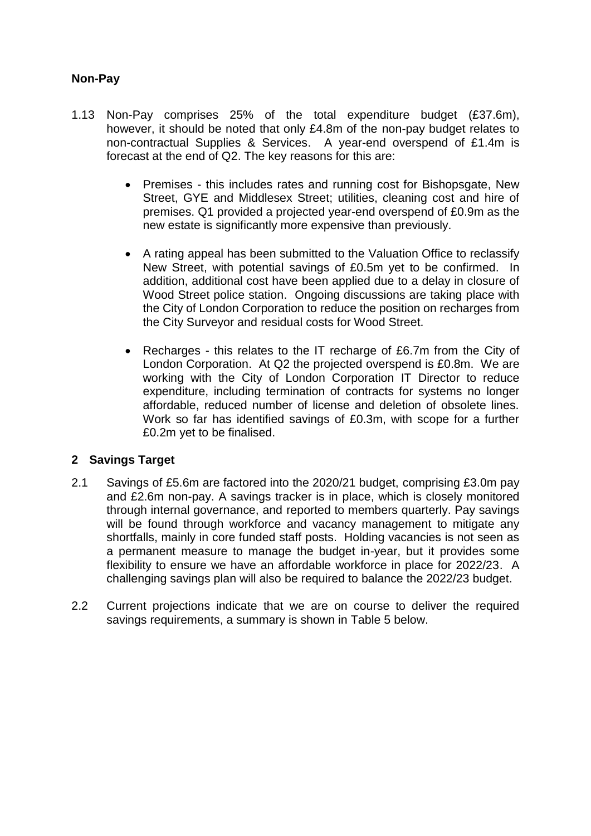## **Non-Pay**

- 1.13 Non-Pay comprises 25% of the total expenditure budget (£37.6m), however, it should be noted that only £4.8m of the non-pay budget relates to non-contractual Supplies & Services. A year-end overspend of £1.4m is forecast at the end of Q2. The key reasons for this are:
	- Premises this includes rates and running cost for Bishopsgate, New Street, GYE and Middlesex Street; utilities, cleaning cost and hire of premises. Q1 provided a projected year-end overspend of £0.9m as the new estate is significantly more expensive than previously.
	- A rating appeal has been submitted to the Valuation Office to reclassify New Street, with potential savings of £0.5m yet to be confirmed. In addition, additional cost have been applied due to a delay in closure of Wood Street police station. Ongoing discussions are taking place with the City of London Corporation to reduce the position on recharges from the City Surveyor and residual costs for Wood Street.
	- Recharges this relates to the IT recharge of £6.7m from the City of London Corporation. At Q2 the projected overspend is £0.8m. We are working with the City of London Corporation IT Director to reduce expenditure, including termination of contracts for systems no longer affordable, reduced number of license and deletion of obsolete lines. Work so far has identified savings of £0.3m, with scope for a further £0.2m yet to be finalised.

#### **2 Savings Target**

- 2.1 Savings of £5.6m are factored into the 2020/21 budget, comprising £3.0m pay and £2.6m non-pay. A savings tracker is in place, which is closely monitored through internal governance, and reported to members quarterly. Pay savings will be found through workforce and vacancy management to mitigate any shortfalls, mainly in core funded staff posts. Holding vacancies is not seen as a permanent measure to manage the budget in-year, but it provides some flexibility to ensure we have an affordable workforce in place for 2022/23. A challenging savings plan will also be required to balance the 2022/23 budget.
- 2.2 Current projections indicate that we are on course to deliver the required savings requirements, a summary is shown in Table 5 below.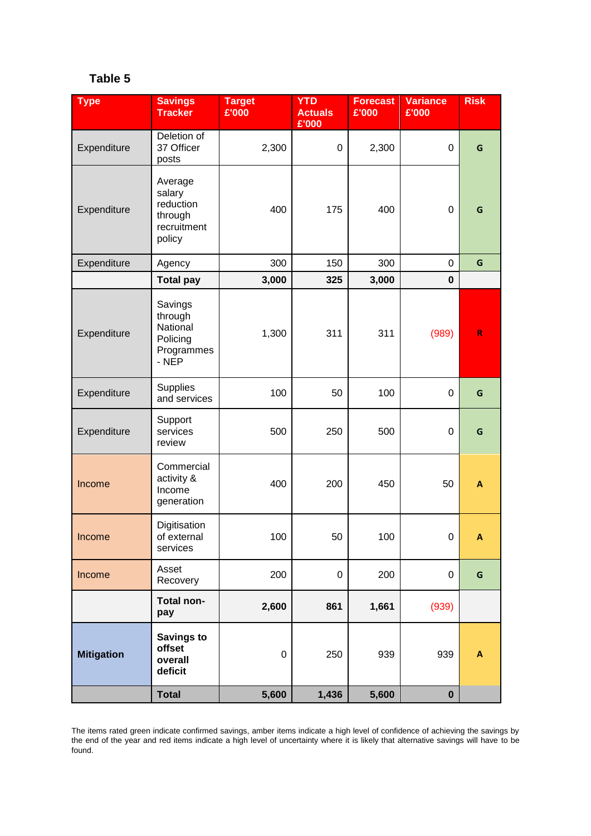## **Table 5**

| <b>Type</b>       | <b>Savings</b><br><b>Tracker</b>                                   | <b>Target</b><br>£'000 | <b>YTD</b><br><b>Actuals</b><br>£'000 | <b>Forecast</b><br>£'000 | <b>Variance</b><br>£'000 | <b>Risk</b>               |
|-------------------|--------------------------------------------------------------------|------------------------|---------------------------------------|--------------------------|--------------------------|---------------------------|
| Expenditure       | Deletion of<br>37 Officer<br>posts                                 | 2,300                  | $\mathbf 0$                           | 2,300                    | 0                        | G                         |
| Expenditure       | Average<br>salary<br>reduction<br>through<br>recruitment<br>policy | 400                    | 175                                   | 400                      | 0                        | G                         |
| Expenditure       | Agency                                                             | 300                    | 150                                   | 300                      | 0                        | G                         |
|                   | <b>Total pay</b>                                                   | 3,000                  | 325                                   | 3,000                    | $\mathbf 0$              |                           |
| Expenditure       | Savings<br>through<br>National<br>Policing<br>Programmes<br>$-NEP$ | 1,300                  | 311                                   | 311                      | (989)                    | $\mathsf{R}$              |
| Expenditure       | Supplies<br>and services                                           | 100                    | 50                                    | 100                      | 0                        | G                         |
| Expenditure       | Support<br>services<br>review                                      | 500                    | 250                                   | 500                      | 0                        | G                         |
| Income            | Commercial<br>activity &<br>Income<br>generation                   | 400                    | 200                                   | 450                      | 50                       | A                         |
| Income            | Digitisation<br>of external<br>services                            | 100                    | 50                                    | 100                      | $\overline{0}$           | A                         |
| Income            | Asset<br>Recovery                                                  | 200                    | $\pmb{0}$                             | 200                      | $\pmb{0}$                | $\mathsf G$               |
|                   | Total non-<br>pay                                                  | 2,600                  | 861                                   | 1,661                    | (939)                    |                           |
| <b>Mitigation</b> | <b>Savings to</b><br>offset<br>overall<br>deficit                  | $\pmb{0}$              | 250                                   | 939                      | 939                      | $\boldsymbol{\mathsf{A}}$ |
|                   | <b>Total</b>                                                       | 5,600                  | 1,436                                 | 5,600                    | $\boldsymbol{0}$         |                           |

The items rated green indicate confirmed savings, amber items indicate a high level of confidence of achieving the savings by the end of the year and red items indicate a high level of uncertainty where it is likely that alternative savings will have to be found.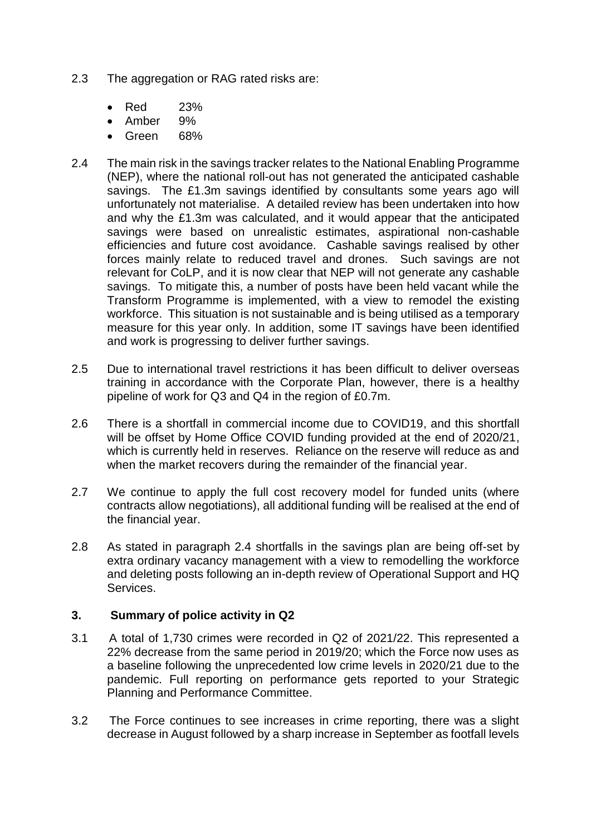- 2.3 The aggregation or RAG rated risks are:
	- Red 23%
	- Amber 9%
	- Green 68%
- 2.4 The main risk in the savings tracker relates to the National Enabling Programme (NEP), where the national roll-out has not generated the anticipated cashable savings. The £1.3m savings identified by consultants some years ago will unfortunately not materialise. A detailed review has been undertaken into how and why the £1.3m was calculated, and it would appear that the anticipated savings were based on unrealistic estimates, aspirational non-cashable efficiencies and future cost avoidance. Cashable savings realised by other forces mainly relate to reduced travel and drones. Such savings are not relevant for CoLP, and it is now clear that NEP will not generate any cashable savings. To mitigate this, a number of posts have been held vacant while the Transform Programme is implemented, with a view to remodel the existing workforce. This situation is not sustainable and is being utilised as a temporary measure for this year only. In addition, some IT savings have been identified and work is progressing to deliver further savings.
- 2.5 Due to international travel restrictions it has been difficult to deliver overseas training in accordance with the Corporate Plan, however, there is a healthy pipeline of work for Q3 and Q4 in the region of £0.7m.
- 2.6 There is a shortfall in commercial income due to COVID19, and this shortfall will be offset by Home Office COVID funding provided at the end of 2020/21, which is currently held in reserves. Reliance on the reserve will reduce as and when the market recovers during the remainder of the financial year.
- 2.7 We continue to apply the full cost recovery model for funded units (where contracts allow negotiations), all additional funding will be realised at the end of the financial year.
- 2.8 As stated in paragraph 2.4 shortfalls in the savings plan are being off-set by extra ordinary vacancy management with a view to remodelling the workforce and deleting posts following an in-depth review of Operational Support and HQ Services.

#### **3. Summary of police activity in Q2**

- 3.1 A total of 1,730 crimes were recorded in Q2 of 2021/22. This represented a 22% decrease from the same period in 2019/20; which the Force now uses as a baseline following the unprecedented low crime levels in 2020/21 due to the pandemic. Full reporting on performance gets reported to your Strategic Planning and Performance Committee.
- 3.2 The Force continues to see increases in crime reporting, there was a slight decrease in August followed by a sharp increase in September as footfall levels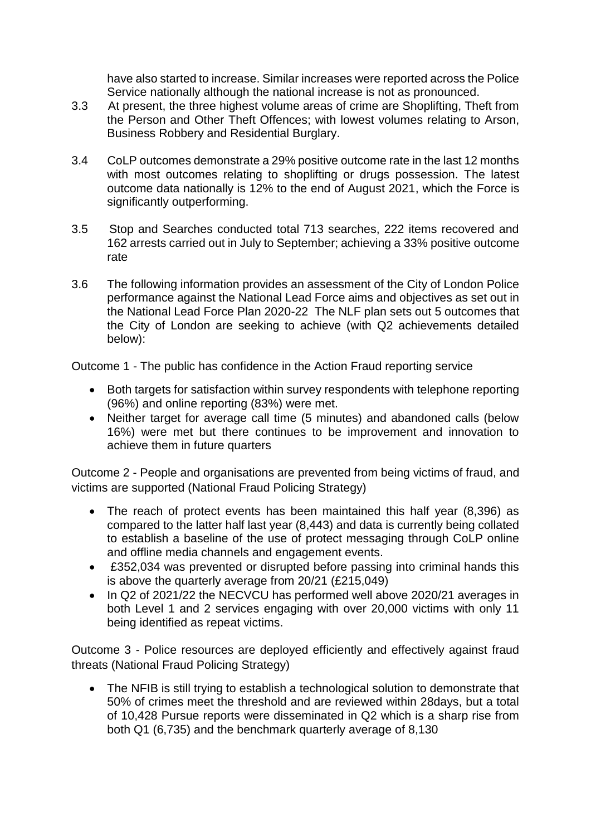have also started to increase. Similar increases were reported across the Police Service nationally although the national increase is not as pronounced.

- 3.3 At present, the three highest volume areas of crime are Shoplifting, Theft from the Person and Other Theft Offences; with lowest volumes relating to Arson, Business Robbery and Residential Burglary.
- 3.4 CoLP outcomes demonstrate a 29% positive outcome rate in the last 12 months with most outcomes relating to shoplifting or drugs possession. The latest outcome data nationally is 12% to the end of August 2021, which the Force is significantly outperforming.
- 3.5 Stop and Searches conducted total 713 searches, 222 items recovered and 162 arrests carried out in July to September; achieving a 33% positive outcome rate
- 3.6 The following information provides an assessment of the City of London Police performance against the National Lead Force aims and objectives as set out in the National Lead Force Plan 2020-22 The NLF plan sets out 5 outcomes that the City of London are seeking to achieve (with Q2 achievements detailed below):

Outcome 1 - The public has confidence in the Action Fraud reporting service

- Both targets for satisfaction within survey respondents with telephone reporting (96%) and online reporting (83%) were met.
- Neither target for average call time (5 minutes) and abandoned calls (below 16%) were met but there continues to be improvement and innovation to achieve them in future quarters

Outcome 2 - People and organisations are prevented from being victims of fraud, and victims are supported (National Fraud Policing Strategy)

- The reach of protect events has been maintained this half year (8,396) as compared to the latter half last year (8,443) and data is currently being collated to establish a baseline of the use of protect messaging through CoLP online and offline media channels and engagement events.
- £352,034 was prevented or disrupted before passing into criminal hands this is above the quarterly average from 20/21 (£215,049)
- In Q2 of 2021/22 the NECVCU has performed well above 2020/21 averages in both Level 1 and 2 services engaging with over 20,000 victims with only 11 being identified as repeat victims.

Outcome 3 - Police resources are deployed efficiently and effectively against fraud threats (National Fraud Policing Strategy)

• The NFIB is still trying to establish a technological solution to demonstrate that 50% of crimes meet the threshold and are reviewed within 28days, but a total of 10,428 Pursue reports were disseminated in Q2 which is a sharp rise from both Q1 (6,735) and the benchmark quarterly average of 8,130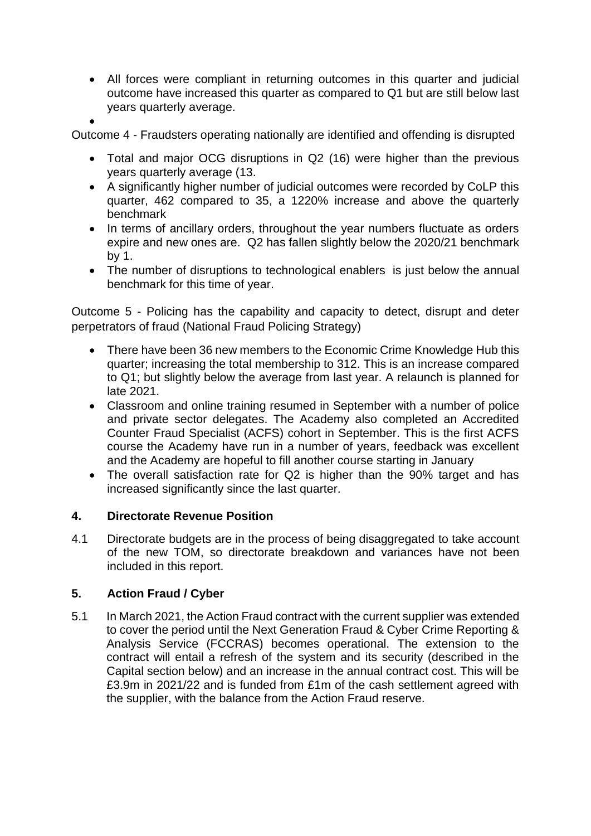- All forces were compliant in returning outcomes in this quarter and judicial outcome have increased this quarter as compared to Q1 but are still below last years quarterly average.
- •

Outcome 4 - Fraudsters operating nationally are identified and offending is disrupted

- Total and major OCG disruptions in Q2 (16) were higher than the previous years quarterly average (13.
- A significantly higher number of judicial outcomes were recorded by CoLP this quarter, 462 compared to 35, a 1220% increase and above the quarterly benchmark
- In terms of ancillary orders, throughout the year numbers fluctuate as orders expire and new ones are. Q2 has fallen slightly below the 2020/21 benchmark by 1.
- The number of disruptions to technological enablers is just below the annual benchmark for this time of year.

Outcome 5 - Policing has the capability and capacity to detect, disrupt and deter perpetrators of fraud (National Fraud Policing Strategy)

- There have been 36 new members to the Economic Crime Knowledge Hub this quarter; increasing the total membership to 312. This is an increase compared to Q1; but slightly below the average from last year. A relaunch is planned for late 2021.
- Classroom and online training resumed in September with a number of police and private sector delegates. The Academy also completed an Accredited Counter Fraud Specialist (ACFS) cohort in September. This is the first ACFS course the Academy have run in a number of years, feedback was excellent and the Academy are hopeful to fill another course starting in January
- The overall satisfaction rate for Q2 is higher than the 90% target and has increased significantly since the last quarter.

#### **4. Directorate Revenue Position**

4.1 Directorate budgets are in the process of being disaggregated to take account of the new TOM, so directorate breakdown and variances have not been included in this report.

## **5. Action Fraud / Cyber**

5.1 In March 2021, the Action Fraud contract with the current supplier was extended to cover the period until the Next Generation Fraud & Cyber Crime Reporting & Analysis Service (FCCRAS) becomes operational. The extension to the contract will entail a refresh of the system and its security (described in the Capital section below) and an increase in the annual contract cost. This will be £3.9m in 2021/22 and is funded from £1m of the cash settlement agreed with the supplier, with the balance from the Action Fraud reserve.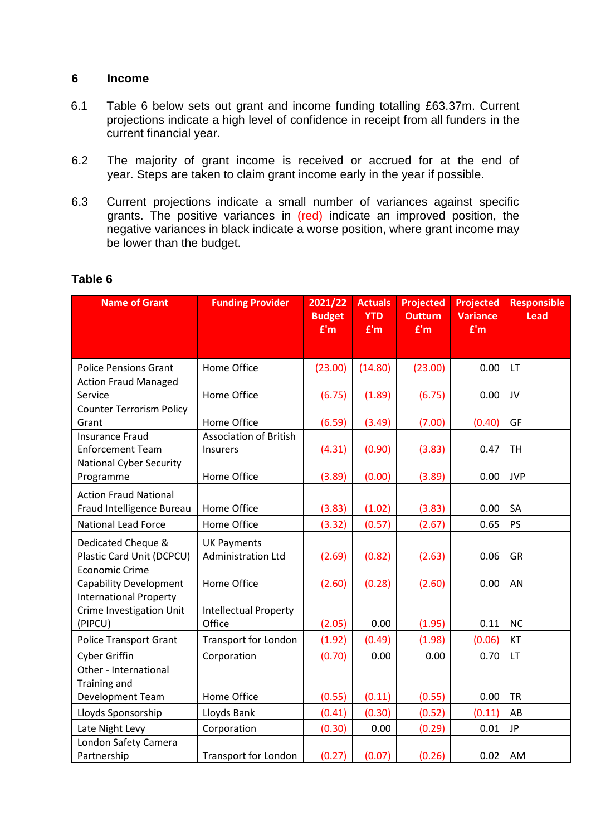#### **6 Income**

- 6.1 Table 6 below sets out grant and income funding totalling £63.37m. Current projections indicate a high level of confidence in receipt from all funders in the current financial year.
- 6.2 The majority of grant income is received or accrued for at the end of year. Steps are taken to claim grant income early in the year if possible.
- 6.3 Current projections indicate a small number of variances against specific grants. The positive variances in (red) indicate an improved position, the negative variances in black indicate a worse position, where grant income may be lower than the budget.

| <b>Name of Grant</b>                                                        | <b>Funding Provider</b>                   | 2021/22<br><b>Budget</b><br>E'm | <b>Actuals</b><br><b>YTD</b><br>E'm | <b>Projected</b><br><b>Outturn</b><br>E'm | <b>Projected</b><br><b>Variance</b><br>E'm | <b>Responsible</b><br><b>Lead</b> |
|-----------------------------------------------------------------------------|-------------------------------------------|---------------------------------|-------------------------------------|-------------------------------------------|--------------------------------------------|-----------------------------------|
|                                                                             |                                           |                                 |                                     |                                           |                                            |                                   |
| <b>Police Pensions Grant</b>                                                | Home Office                               | (23.00)                         | (14.80)                             | (23.00)                                   | 0.00                                       | LT                                |
| <b>Action Fraud Managed</b><br>Service                                      | Home Office                               | (6.75)                          | (1.89)                              | (6.75)                                    | 0.00                                       | JV                                |
| <b>Counter Terrorism Policy</b><br>Grant                                    | Home Office                               | (6.59)                          | (3.49)                              | (7.00)                                    | (0.40)                                     | GF                                |
| <b>Insurance Fraud</b><br><b>Enforcement Team</b>                           | <b>Association of British</b><br>Insurers | (4.31)                          | (0.90)                              | (3.83)                                    | 0.47                                       | <b>TH</b>                         |
| <b>National Cyber Security</b><br>Programme                                 | Home Office                               | (3.89)                          | (0.00)                              | (3.89)                                    | 0.00                                       | <b>JVP</b>                        |
| <b>Action Fraud National</b><br>Fraud Intelligence Bureau                   | Home Office                               | (3.83)                          | (1.02)                              | (3.83)                                    | 0.00                                       | SA                                |
| <b>National Lead Force</b>                                                  | Home Office                               | (3.32)                          | (0.57)                              | (2.67)                                    | 0.65                                       | <b>PS</b>                         |
| Dedicated Cheque &<br>Plastic Card Unit (DCPCU)                             | <b>UK Payments</b><br>Administration Ltd  | (2.69)                          | (0.82)                              | (2.63)                                    | 0.06                                       | <b>GR</b>                         |
| <b>Economic Crime</b><br><b>Capability Development</b>                      | Home Office                               | (2.60)                          | (0.28)                              | (2.60)                                    | 0.00                                       | AN                                |
| <b>International Property</b><br><b>Crime Investigation Unit</b><br>(PIPCU) | <b>Intellectual Property</b><br>Office    | (2.05)                          | 0.00                                | (1.95)                                    | 0.11                                       | <b>NC</b>                         |
| <b>Police Transport Grant</b>                                               | <b>Transport for London</b>               | (1.92)                          | (0.49)                              | (1.98)                                    | (0.06)                                     | KT                                |
| <b>Cyber Griffin</b>                                                        | Corporation                               | (0.70)                          | 0.00                                | 0.00                                      | 0.70                                       | LT                                |
| Other - International<br><b>Training and</b>                                |                                           |                                 |                                     |                                           |                                            |                                   |
| Development Team                                                            | Home Office                               | (0.55)                          | (0.11)                              | (0.55)                                    | 0.00                                       | <b>TR</b>                         |
| Lloyds Sponsorship                                                          | Lloyds Bank                               | (0.41)                          | (0.30)                              | (0.52)                                    | (0.11)                                     | AB                                |
| Late Night Levy                                                             | Corporation                               | (0.30)                          | 0.00                                | (0.29)                                    | 0.01                                       | JP                                |
| London Safety Camera<br>Partnership                                         | <b>Transport for London</b>               | (0.27)                          | (0.07)                              | (0.26)                                    | 0.02                                       | AM                                |

## **Table 6**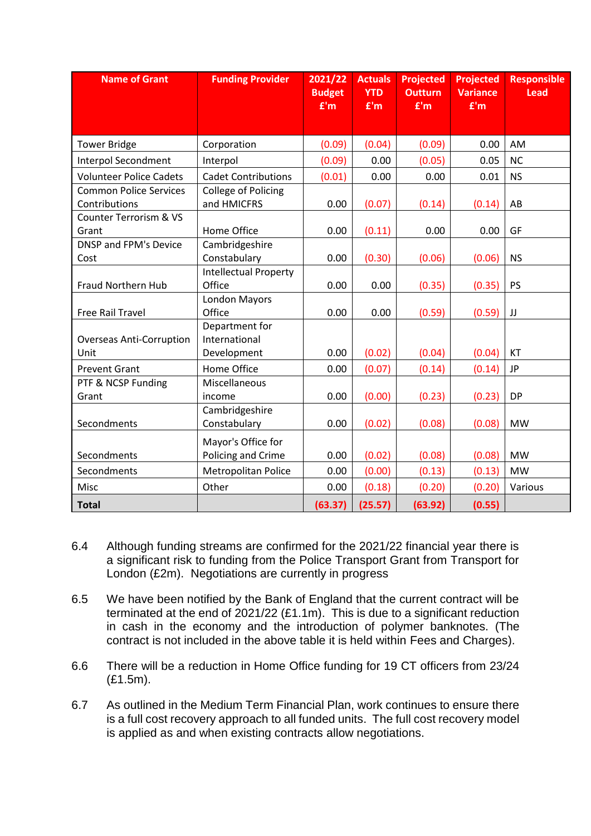| <b>Name of Grant</b>                           | <b>Funding Provider</b>                        | 2021/22<br><b>Budget</b><br>E'm | <b>Actuals</b><br><b>YTD</b><br>E'm | <b>Projected</b><br><b>Outturn</b><br>E'm | <b>Projected</b><br><b>Variance</b><br>E'm | <b>Responsible</b><br><b>Lead</b> |
|------------------------------------------------|------------------------------------------------|---------------------------------|-------------------------------------|-------------------------------------------|--------------------------------------------|-----------------------------------|
| <b>Tower Bridge</b>                            | Corporation                                    | (0.09)                          | (0.04)                              | (0.09)                                    | 0.00                                       | AM                                |
| <b>Interpol Secondment</b>                     | Interpol                                       | (0.09)                          | 0.00                                | (0.05)                                    | 0.05                                       | <b>NC</b>                         |
| <b>Volunteer Police Cadets</b>                 | <b>Cadet Contributions</b>                     | (0.01)                          | 0.00                                | 0.00                                      | 0.01                                       | <b>NS</b>                         |
| <b>Common Police Services</b><br>Contributions | <b>College of Policing</b><br>and HMICFRS      | 0.00                            | (0.07)                              | (0.14)                                    | (0.14)                                     | AB                                |
| Counter Terrorism & VS<br>Grant                | Home Office                                    | 0.00                            | (0.11)                              | 0.00                                      | 0.00                                       | GF                                |
| <b>DNSP and FPM's Device</b><br>Cost           | Cambridgeshire<br>Constabulary                 | 0.00                            | (0.30)                              | (0.06)                                    | (0.06)                                     | <b>NS</b>                         |
| Fraud Northern Hub                             | <b>Intellectual Property</b><br>Office         | 0.00                            | 0.00                                | (0.35)                                    | (0.35)                                     | <b>PS</b>                         |
| Free Rail Travel                               | <b>London Mayors</b><br>Office                 | 0.00                            | 0.00                                | (0.59)                                    | (0.59)                                     | JJ                                |
| <b>Overseas Anti-Corruption</b><br>Unit        | Department for<br>International<br>Development | 0.00                            | (0.02)                              | (0.04)                                    | (0.04)                                     | <b>KT</b>                         |
| <b>Prevent Grant</b>                           | Home Office                                    | 0.00                            | (0.07)                              | (0.14)                                    | (0.14)                                     | <b>JP</b>                         |
| PTF & NCSP Funding<br>Grant                    | Miscellaneous<br>income                        | 0.00                            | (0.00)                              | (0.23)                                    | (0.23)                                     | <b>DP</b>                         |
| Secondments                                    | Cambridgeshire<br>Constabulary                 | 0.00                            | (0.02)                              | (0.08)                                    | (0.08)                                     | <b>MW</b>                         |
| Secondments                                    | Mayor's Office for<br>Policing and Crime       | 0.00                            | (0.02)                              | (0.08)                                    | (0.08)                                     | <b>MW</b>                         |
| Secondments                                    | Metropolitan Police                            | 0.00                            | (0.00)                              | (0.13)                                    | (0.13)                                     | <b>MW</b>                         |
| Misc                                           | Other                                          | 0.00                            | (0.18)                              | (0.20)                                    | (0.20)                                     | Various                           |
| <b>Total</b>                                   |                                                | (63.37)                         | (25.57)                             | (63.92)                                   | (0.55)                                     |                                   |

- 6.4 Although funding streams are confirmed for the 2021/22 financial year there is a significant risk to funding from the Police Transport Grant from Transport for London (£2m). Negotiations are currently in progress
- 6.5 We have been notified by the Bank of England that the current contract will be terminated at the end of  $2021/22$  (£1.1m). This is due to a significant reduction in cash in the economy and the introduction of polymer banknotes. (The contract is not included in the above table it is held within Fees and Charges).
- 6.6 There will be a reduction in Home Office funding for 19 CT officers from 23/24 (£1.5m).
- 6.7 As outlined in the Medium Term Financial Plan, work continues to ensure there is a full cost recovery approach to all funded units. The full cost recovery model is applied as and when existing contracts allow negotiations.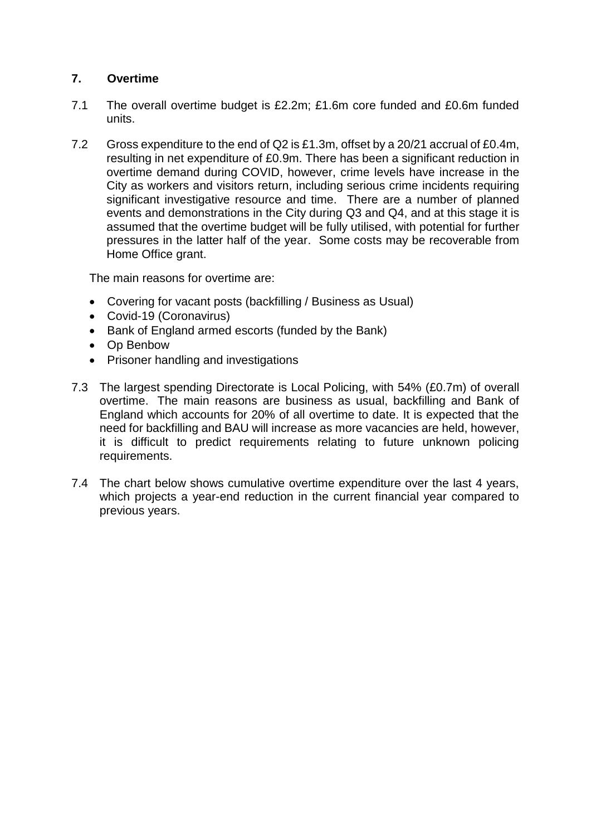## **7. Overtime**

- 7.1 The overall overtime budget is £2.2m; £1.6m core funded and £0.6m funded units.
- 7.2 Gross expenditure to the end of Q2 is £1.3m, offset by a 20/21 accrual of £0.4m, resulting in net expenditure of £0.9m. There has been a significant reduction in overtime demand during COVID, however, crime levels have increase in the City as workers and visitors return, including serious crime incidents requiring significant investigative resource and time. There are a number of planned events and demonstrations in the City during Q3 and Q4, and at this stage it is assumed that the overtime budget will be fully utilised, with potential for further pressures in the latter half of the year. Some costs may be recoverable from Home Office grant.

The main reasons for overtime are:

- Covering for vacant posts (backfilling / Business as Usual)
- Covid-19 (Coronavirus)
- Bank of England armed escorts (funded by the Bank)
- Op Benbow
- Prisoner handling and investigations
- 7.3 The largest spending Directorate is Local Policing, with 54% (£0.7m) of overall overtime. The main reasons are business as usual, backfilling and Bank of England which accounts for 20% of all overtime to date. It is expected that the need for backfilling and BAU will increase as more vacancies are held, however, it is difficult to predict requirements relating to future unknown policing requirements.
- 7.4 The chart below shows cumulative overtime expenditure over the last 4 years, which projects a year-end reduction in the current financial year compared to previous years.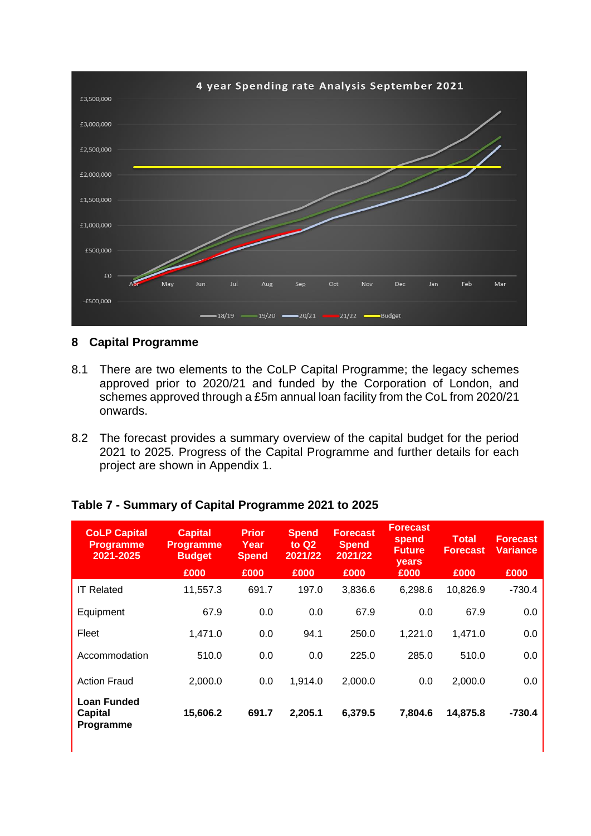

## **8 Capital Programme**

- 8.1 There are two elements to the CoLP Capital Programme; the legacy schemes approved prior to 2020/21 and funded by the Corporation of London, and schemes approved through a £5m annual loan facility from the CoL from 2020/21 onwards.
- 8.2 The forecast provides a summary overview of the capital budget for the period 2021 to 2025. Progress of the Capital Programme and further details for each project are shown in Appendix 1.

## **Table 7 - Summary of Capital Programme 2021 to 2025**

| <b>CoLP Capital</b><br><b>Programme</b><br>2021-2025 | <b>Capital</b><br><b>Programme</b><br><b>Budget</b><br>£000 | <b>Prior</b><br>Year<br><b>Spend</b><br>£000 | <b>Spend</b><br>to $Q2$<br>2021/22<br>£000 | <b>Forecast</b><br><b>Spend</b><br>2021/22<br>£000 | <b>Forecast</b><br>spend<br><b>Future</b><br><b>vears</b><br>£000 | Total<br><b>Forecast</b><br>£000 | <b>Forecast</b><br>Variance<br>£000 |
|------------------------------------------------------|-------------------------------------------------------------|----------------------------------------------|--------------------------------------------|----------------------------------------------------|-------------------------------------------------------------------|----------------------------------|-------------------------------------|
| <b>IT Related</b>                                    | 11,557.3                                                    | 691.7                                        | 197.0                                      | 3,836.6                                            | 6,298.6                                                           | 10,826.9                         | $-730.4$                            |
| Equipment                                            | 67.9                                                        | 0.0                                          | 0.0                                        | 67.9                                               | 0.0                                                               | 67.9                             | 0.0                                 |
| Fleet                                                | 1,471.0                                                     | 0.0                                          | 94.1                                       | 250.0                                              | 1,221.0                                                           | 1,471.0                          | 0.0                                 |
| Accommodation                                        | 510.0                                                       | 0.0                                          | 0.0                                        | 225.0                                              | 285.0                                                             | 510.0                            | 0.0                                 |
| <b>Action Fraud</b>                                  | 2,000.0                                                     | 0.0                                          | 1,914.0                                    | 2,000.0                                            | 0.0                                                               | 2,000.0                          | 0.0                                 |
| <b>Loan Funded</b><br>Capital<br>Programme           | 15,606.2                                                    | 691.7                                        | 2,205.1                                    | 6,379.5                                            | 7,804.6                                                           | 14,875.8                         | $-730.4$                            |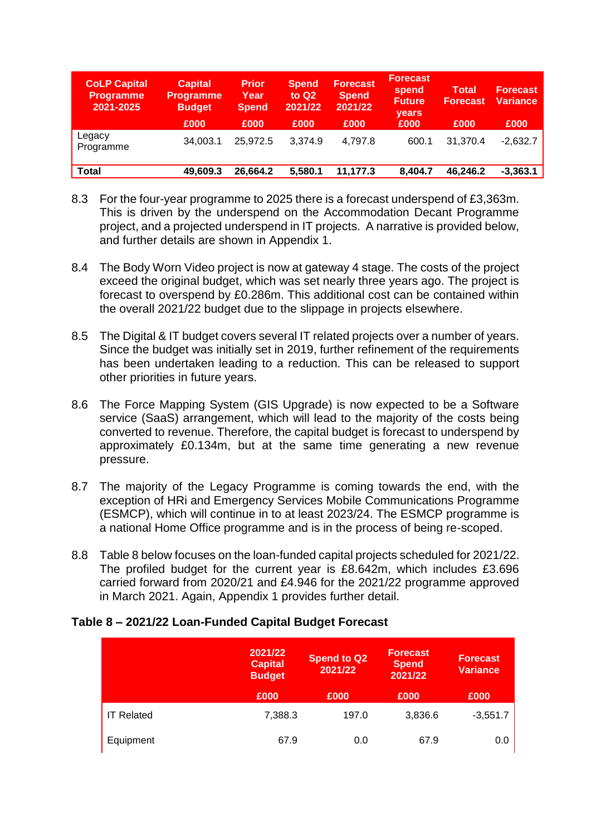| <b>CoLP Capital</b><br><b>Programme</b><br>2021-2025 | <b>Capital</b><br><b>Programme</b><br><b>Budget</b><br>£000 | <b>Prior</b><br>Year<br><b>Spend</b><br>£000 | <b>Spend</b><br>to $Q2$<br>2021/22<br>£000 | Forecast<br><b>Spend</b><br>2021/22<br>£000 | <b>Forecast</b><br>spend<br><b>Future</b><br>years<br>£000 | Total<br><b>Forecast</b><br>£000 | <b>Forecast</b><br><b>Variance</b><br>£000 |
|------------------------------------------------------|-------------------------------------------------------------|----------------------------------------------|--------------------------------------------|---------------------------------------------|------------------------------------------------------------|----------------------------------|--------------------------------------------|
| Legacy<br>Programme                                  | 34.003.1                                                    | 25.972.5                                     | 3,374.9                                    | 4,797.8                                     | 600.1                                                      | 31,370.4                         | $-2,632.7$                                 |
| Total                                                | 49,609.3                                                    | 26,664.2                                     | 5,580.1                                    | 11,177.3                                    | 8,404.7                                                    | 46,246.2                         | $-3,363.1$                                 |

- 8.3 For the four-year programme to 2025 there is a forecast underspend of £3,363m. This is driven by the underspend on the Accommodation Decant Programme project, and a projected underspend in IT projects. A narrative is provided below, and further details are shown in Appendix 1.
- 8.4 The Body Worn Video project is now at gateway 4 stage. The costs of the project exceed the original budget, which was set nearly three years ago. The project is forecast to overspend by £0.286m. This additional cost can be contained within the overall 2021/22 budget due to the slippage in projects elsewhere.
- 8.5 The Digital & IT budget covers several IT related projects over a number of years. Since the budget was initially set in 2019, further refinement of the requirements has been undertaken leading to a reduction. This can be released to support other priorities in future years.
- 8.6 The Force Mapping System (GIS Upgrade) is now expected to be a Software service (SaaS) arrangement, which will lead to the majority of the costs being converted to revenue. Therefore, the capital budget is forecast to underspend by approximately £0.134m, but at the same time generating a new revenue pressure.
- 8.7 The majority of the Legacy Programme is coming towards the end, with the exception of HRi and Emergency Services Mobile Communications Programme (ESMCP), which will continue in to at least 2023/24. The ESMCP programme is a national Home Office programme and is in the process of being re-scoped.
- 8.8 Table 8 below focuses on the loan-funded capital projects scheduled for 2021/22. The profiled budget for the current year is £8.642m, which includes £3.696 carried forward from 2020/21 and £4.946 for the 2021/22 programme approved in March 2021. Again, Appendix 1 provides further detail.

#### **Table 8 – 2021/22 Loan-Funded Capital Budget Forecast**

|                   | 2021/22<br><b>Capital</b><br><b>Budget</b> | <b>Spend to Q2</b><br>2021/22 | <b>Forecast</b><br><b>Spend</b><br>2021/22 | <b>Forecast</b><br><b>Variance</b> |
|-------------------|--------------------------------------------|-------------------------------|--------------------------------------------|------------------------------------|
|                   | £000                                       | £000                          | £000                                       | £000                               |
| <b>IT Related</b> | 7,388.3                                    | 197.0                         | 3,836.6                                    | $-3,551.7$                         |
| Equipment         | 67.9                                       | 0.0                           | 67.9                                       | 0.0                                |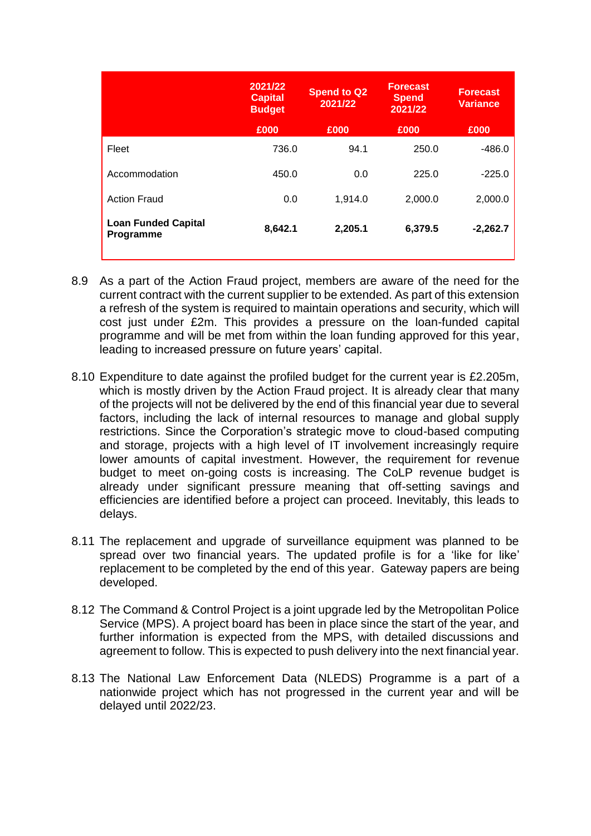|                                         | 2021/22<br><b>Capital</b><br><b>Budget</b> | <b>Spend to Q2</b><br>2021/22 | <b>Forecast</b><br><b>Spend</b><br>2021/22 | <b>Forecast</b><br><b>Variance</b> |
|-----------------------------------------|--------------------------------------------|-------------------------------|--------------------------------------------|------------------------------------|
|                                         | £000                                       | £000                          | £000                                       | £000                               |
| Fleet                                   | 736.0                                      | 94.1                          | 250.0                                      | $-486.0$                           |
| Accommodation                           | 450.0                                      | 0.0                           | 225.0                                      | $-225.0$                           |
| <b>Action Fraud</b>                     | 0.0                                        | 1,914.0                       | 2,000.0                                    | 2,000.0                            |
| <b>Loan Funded Capital</b><br>Programme | 8,642.1                                    | 2,205.1                       | 6,379.5                                    | $-2,262.7$                         |

- 8.9 As a part of the Action Fraud project, members are aware of the need for the current contract with the current supplier to be extended. As part of this extension a refresh of the system is required to maintain operations and security, which will cost just under £2m. This provides a pressure on the loan-funded capital programme and will be met from within the loan funding approved for this year, leading to increased pressure on future years' capital.
- 8.10 Expenditure to date against the profiled budget for the current year is £2.205m, which is mostly driven by the Action Fraud project. It is already clear that many of the projects will not be delivered by the end of this financial year due to several factors, including the lack of internal resources to manage and global supply restrictions. Since the Corporation's strategic move to cloud-based computing and storage, projects with a high level of IT involvement increasingly require lower amounts of capital investment. However, the requirement for revenue budget to meet on-going costs is increasing. The CoLP revenue budget is already under significant pressure meaning that off-setting savings and efficiencies are identified before a project can proceed. Inevitably, this leads to delays.
- 8.11 The replacement and upgrade of surveillance equipment was planned to be spread over two financial years. The updated profile is for a 'like for like' replacement to be completed by the end of this year. Gateway papers are being developed.
- 8.12 The Command & Control Project is a joint upgrade led by the Metropolitan Police Service (MPS). A project board has been in place since the start of the year, and further information is expected from the MPS, with detailed discussions and agreement to follow. This is expected to push delivery into the next financial year.
- 8.13 The National Law Enforcement Data (NLEDS) Programme is a part of a nationwide project which has not progressed in the current year and will be delayed until 2022/23.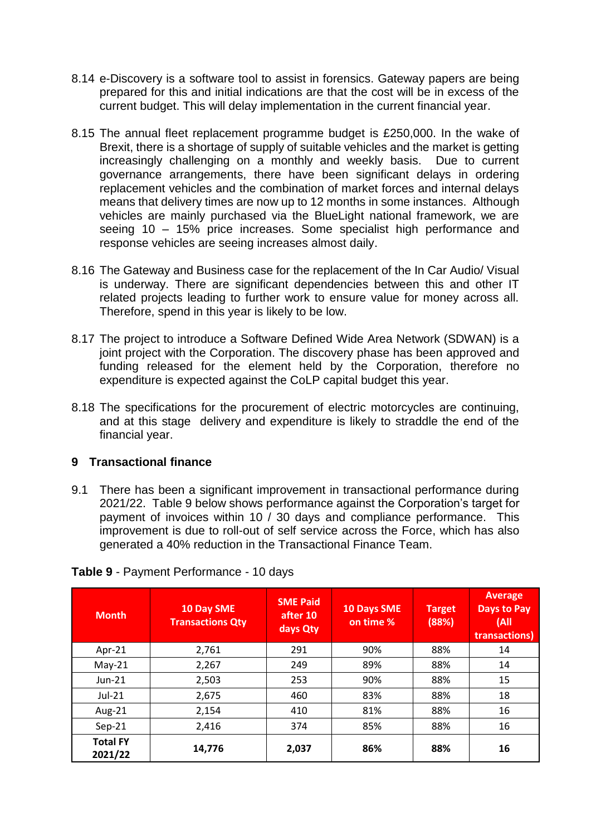- 8.14 e-Discovery is a software tool to assist in forensics. Gateway papers are being prepared for this and initial indications are that the cost will be in excess of the current budget. This will delay implementation in the current financial year.
- 8.15 The annual fleet replacement programme budget is £250,000. In the wake of Brexit, there is a shortage of supply of suitable vehicles and the market is getting increasingly challenging on a monthly and weekly basis. Due to current governance arrangements, there have been significant delays in ordering replacement vehicles and the combination of market forces and internal delays means that delivery times are now up to 12 months in some instances. Although vehicles are mainly purchased via the BlueLight national framework, we are seeing 10 – 15% price increases. Some specialist high performance and response vehicles are seeing increases almost daily.
- 8.16 The Gateway and Business case for the replacement of the In Car Audio/ Visual is underway. There are significant dependencies between this and other IT related projects leading to further work to ensure value for money across all. Therefore, spend in this year is likely to be low.
- 8.17 The project to introduce a Software Defined Wide Area Network (SDWAN) is a joint project with the Corporation. The discovery phase has been approved and funding released for the element held by the Corporation, therefore no expenditure is expected against the CoLP capital budget this year.
- 8.18 The specifications for the procurement of electric motorcycles are continuing, and at this stage delivery and expenditure is likely to straddle the end of the financial year.

## **9 Transactional finance**

9.1 There has been a significant improvement in transactional performance during 2021/22. Table 9 below shows performance against the Corporation's target for payment of invoices within 10 / 30 days and compliance performance. This improvement is due to roll-out of self service across the Force, which has also generated a 40% reduction in the Transactional Finance Team.

| <b>Month</b>               | 10 Day SME<br><b>Transactions Qty</b> | <b>SME Paid</b><br>after 10<br>days Qty | <b>10 Days SME</b><br>on time % | <b>Target</b><br>(88%) | <b>Average</b><br><b>Days to Pay</b><br>(A)<br>transactions) |
|----------------------------|---------------------------------------|-----------------------------------------|---------------------------------|------------------------|--------------------------------------------------------------|
| Apr-21                     | 2,761                                 | 291                                     | 90%                             | 88%                    | 14                                                           |
| $May-21$                   | 2,267                                 | 249                                     | 89%                             | 88%                    | 14                                                           |
| Jun-21                     | 2,503                                 | 253                                     | 90%                             | 88%                    | 15                                                           |
| Jul-21                     | 2,675                                 | 460                                     | 83%                             | 88%                    | 18                                                           |
| Aug-21                     | 2,154                                 | 410                                     | 81%                             | 88%                    | 16                                                           |
| $Sep-21$                   | 2,416                                 | 374                                     | 85%                             | 88%                    | 16                                                           |
| <b>Total FY</b><br>2021/22 | 14,776                                | 2,037                                   | 86%                             | 88%                    | 16                                                           |

#### **Table 9** - Payment Performance - 10 days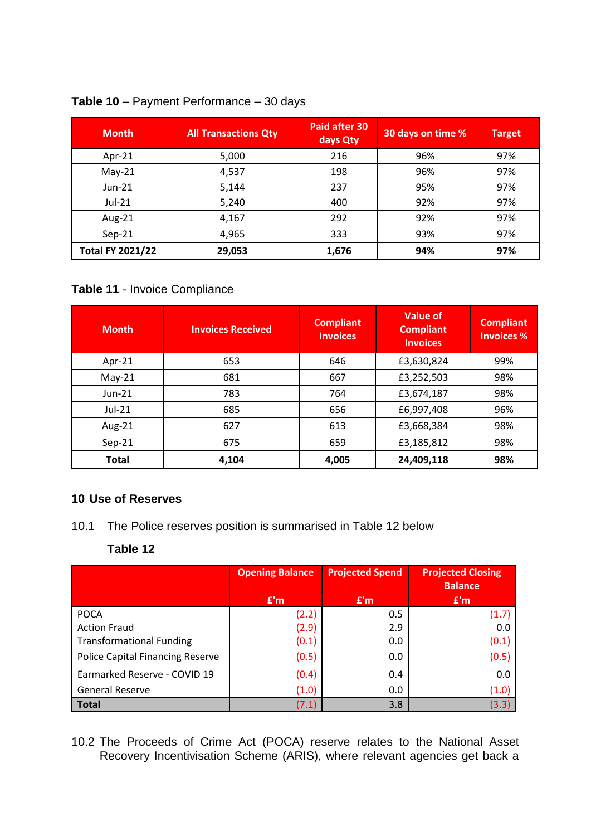| <b>Month</b>            | <b>All Transactions Qty</b> | Paid after 30<br>days Qty | 30 days on time % | <b>Target</b> |
|-------------------------|-----------------------------|---------------------------|-------------------|---------------|
| Apr-21                  | 5,000                       | 216                       | 96%               | 97%           |
| $May-21$                | 4,537                       | 198                       | 96%               | 97%           |
| $Jun-21$                | 5,144                       | 237                       | 95%               | 97%           |
| Jul-21                  | 5,240                       | 400                       | 92%               | 97%           |
| Aug-21                  | 4,167                       | 292                       | 92%               | 97%           |
| $Sep-21$                | 4,965                       | 333                       | 93%               | 97%           |
| <b>Total FY 2021/22</b> | 29,053                      | 1,676                     | 94%               | 97%           |

#### **Table 10** – Payment Performance – 30 days

## **Table 11** - Invoice Compliance

| <b>Month</b> | <b>Invoices Received</b> | <b>Compliant</b><br><b>Invoices</b> | Value of<br><b>Compliant</b><br><b>Invoices</b> | <b>Compliant</b><br><b>Invoices %</b> |
|--------------|--------------------------|-------------------------------------|-------------------------------------------------|---------------------------------------|
| Apr-21       | 653                      | 646                                 | £3,630,824                                      | 99%                                   |
| $May-21$     | 681                      | 667                                 | £3,252,503                                      | 98%                                   |
| Jun-21       | 783                      | 764                                 | £3,674,187                                      | 98%                                   |
| Jul-21       | 685                      | 656                                 | £6,997,408                                      | 96%                                   |
| Aug-21       | 627                      | 613                                 | £3,668,384                                      | 98%                                   |
| $Sep-21$     | 675                      | 659                                 | £3,185,812                                      | 98%                                   |
| <b>Total</b> | 4,104                    | 4,005                               | 24,409,118                                      | 98%                                   |

## **10 Use of Reserves**

10.1 The Police reserves position is summarised in Table 12 below

## **Table 12**

|                                         | <b>Opening Balance</b> | <b>Projected Spend</b> | <b>Projected Closing</b><br><b>Balance</b> |
|-----------------------------------------|------------------------|------------------------|--------------------------------------------|
|                                         | E'm                    | E'm                    | E'm                                        |
| <b>POCA</b>                             | (2.2)                  | 0.5                    | (1.7)                                      |
| <b>Action Fraud</b>                     | (2.9)                  | 2.9                    | 0.0                                        |
| <b>Transformational Funding</b>         | (0.1)                  | 0.0                    | (0.1)                                      |
| <b>Police Capital Financing Reserve</b> | (0.5)                  | 0.0                    | (0.5)                                      |
| Earmarked Reserve - COVID 19            | (0.4)                  | 0.4                    | 0.0                                        |
| General Reserve                         | (1.0)                  | 0.0                    | (1.0)                                      |
| <b>Total</b>                            | (7.1)                  | 3.8                    | (3.3)                                      |

10.2 The Proceeds of Crime Act (POCA) reserve relates to the National Asset Recovery Incentivisation Scheme (ARIS), where relevant agencies get back a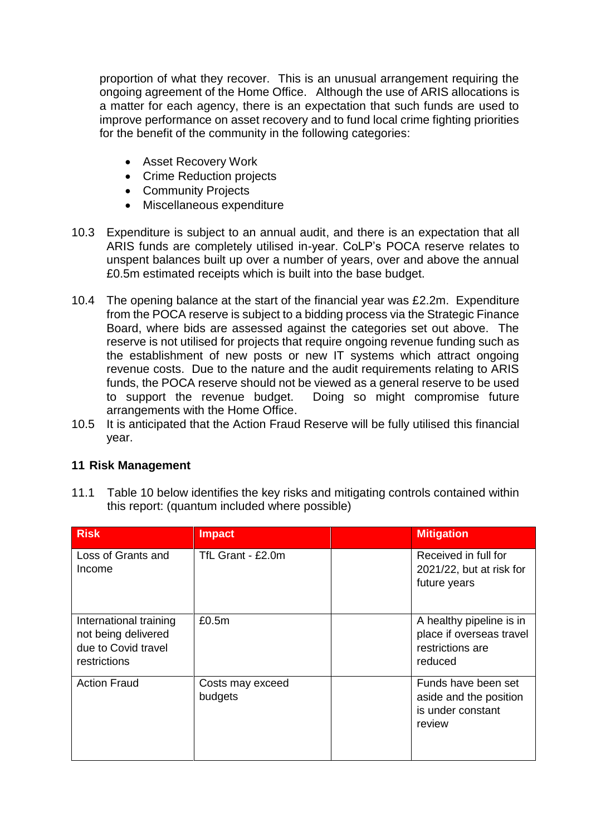proportion of what they recover. This is an unusual arrangement requiring the ongoing agreement of the Home Office. Although the use of ARIS allocations is a matter for each agency, there is an expectation that such funds are used to improve performance on asset recovery and to fund local crime fighting priorities for the benefit of the community in the following categories:

- Asset Recovery Work
- Crime Reduction projects
- Community Projects
- Miscellaneous expenditure
- 10.3 Expenditure is subject to an annual audit, and there is an expectation that all ARIS funds are completely utilised in-year. CoLP's POCA reserve relates to unspent balances built up over a number of years, over and above the annual £0.5m estimated receipts which is built into the base budget.
- 10.4 The opening balance at the start of the financial year was £2.2m. Expenditure from the POCA reserve is subject to a bidding process via the Strategic Finance Board, where bids are assessed against the categories set out above. The reserve is not utilised for projects that require ongoing revenue funding such as the establishment of new posts or new IT systems which attract ongoing revenue costs. Due to the nature and the audit requirements relating to ARIS funds, the POCA reserve should not be viewed as a general reserve to be used<br>to support the revenue budget. Doing so might compromise future Doing so might compromise future arrangements with the Home Office.
- 10.5 It is anticipated that the Action Fraud Reserve will be fully utilised this financial year.

## **11 Risk Management**

| 11.1 | Table 10 below identifies the key risks and mitigating controls contained within |
|------|----------------------------------------------------------------------------------|
|      | this report: (quantum included where possible)                                   |

| <b>Risk</b>                                                                          | <b>Impact</b>               | <b>Mitigation</b>                                                                   |
|--------------------------------------------------------------------------------------|-----------------------------|-------------------------------------------------------------------------------------|
| Loss of Grants and<br>Income                                                         | TfL Grant - £2.0m           | Received in full for<br>2021/22, but at risk for<br>future years                    |
| International training<br>not being delivered<br>due to Covid travel<br>restrictions | £0.5m                       | A healthy pipeline is in<br>place if overseas travel<br>restrictions are<br>reduced |
| <b>Action Fraud</b>                                                                  | Costs may exceed<br>budgets | Funds have been set<br>aside and the position<br>is under constant<br>review        |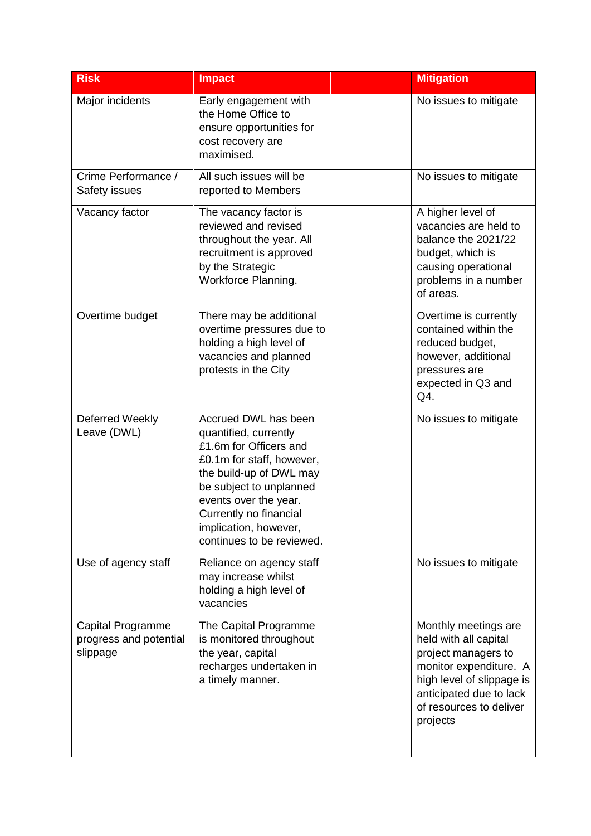| <b>Risk</b>                                             | <b>Impact</b>                                                                                                                                                                                                                                                       | <b>Mitigation</b>                                                                                                                                                                             |
|---------------------------------------------------------|---------------------------------------------------------------------------------------------------------------------------------------------------------------------------------------------------------------------------------------------------------------------|-----------------------------------------------------------------------------------------------------------------------------------------------------------------------------------------------|
| Major incidents                                         | Early engagement with<br>the Home Office to<br>ensure opportunities for<br>cost recovery are<br>maximised.                                                                                                                                                          | No issues to mitigate                                                                                                                                                                         |
| Crime Performance /<br>Safety issues                    | All such issues will be<br>reported to Members                                                                                                                                                                                                                      | No issues to mitigate                                                                                                                                                                         |
| Vacancy factor                                          | The vacancy factor is<br>reviewed and revised<br>throughout the year. All<br>recruitment is approved<br>by the Strategic<br>Workforce Planning.                                                                                                                     | A higher level of<br>vacancies are held to<br>balance the 2021/22<br>budget, which is<br>causing operational<br>problems in a number<br>of areas.                                             |
| Overtime budget                                         | There may be additional<br>overtime pressures due to<br>holding a high level of<br>vacancies and planned<br>protests in the City                                                                                                                                    | Overtime is currently<br>contained within the<br>reduced budget,<br>however, additional<br>pressures are<br>expected in Q3 and<br>Q4.                                                         |
| Deferred Weekly<br>Leave (DWL)                          | Accrued DWL has been<br>quantified, currently<br>£1.6m for Officers and<br>£0.1m for staff, however,<br>the build-up of DWL may<br>be subject to unplanned<br>events over the year.<br>Currently no financial<br>implication, however,<br>continues to be reviewed. | No issues to mitigate                                                                                                                                                                         |
| Use of agency staff                                     | Reliance on agency staff<br>may increase whilst<br>holding a high level of<br>vacancies                                                                                                                                                                             | No issues to mitigate                                                                                                                                                                         |
| Capital Programme<br>progress and potential<br>slippage | The Capital Programme<br>is monitored throughout<br>the year, capital<br>recharges undertaken in<br>a timely manner.                                                                                                                                                | Monthly meetings are<br>held with all capital<br>project managers to<br>monitor expenditure. A<br>high level of slippage is<br>anticipated due to lack<br>of resources to deliver<br>projects |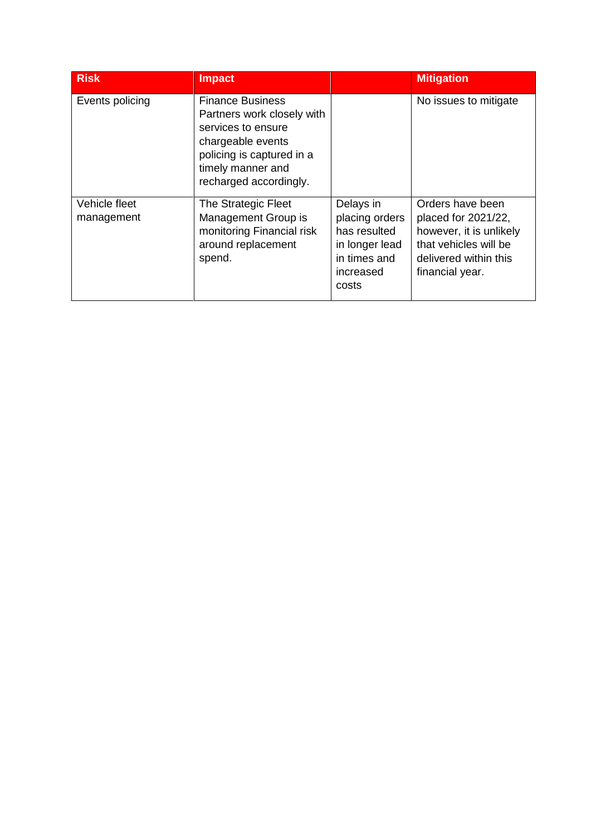| <b>Risk</b>                 | <b>Impact</b>                                                                                                                                                                |                                                                                                     | <b>Mitigation</b>                                                                                                                       |
|-----------------------------|------------------------------------------------------------------------------------------------------------------------------------------------------------------------------|-----------------------------------------------------------------------------------------------------|-----------------------------------------------------------------------------------------------------------------------------------------|
| Events policing             | <b>Finance Business</b><br>Partners work closely with<br>services to ensure<br>chargeable events<br>policing is captured in a<br>timely manner and<br>recharged accordingly. |                                                                                                     | No issues to mitigate                                                                                                                   |
| Vehicle fleet<br>management | The Strategic Fleet<br>Management Group is<br>monitoring Financial risk<br>around replacement<br>spend.                                                                      | Delays in<br>placing orders<br>has resulted<br>in longer lead<br>in times and<br>increased<br>costs | Orders have been<br>placed for 2021/22,<br>however, it is unlikely<br>that vehicles will be<br>delivered within this<br>financial year. |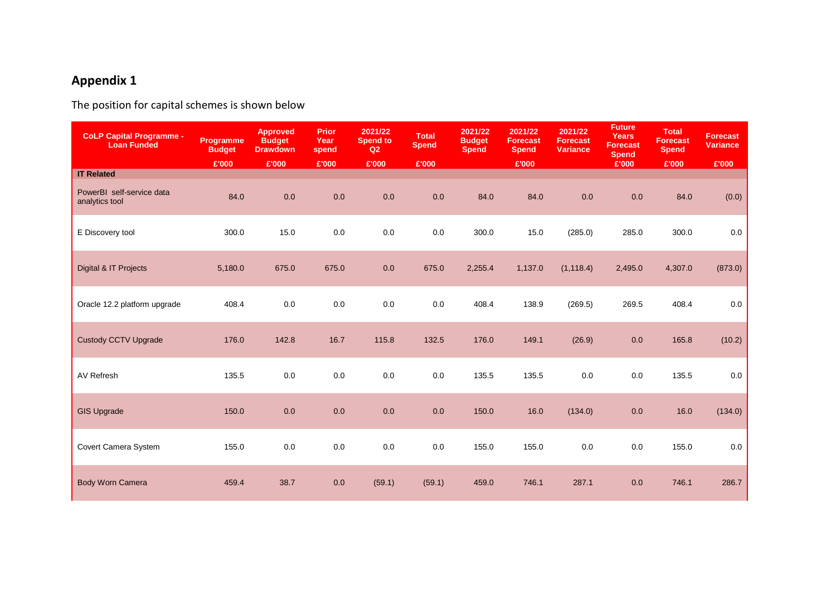# **Appendix 1**

The position for capital schemes is shown below

| <b>CoLP Capital Programme -</b><br><b>Loan Funded</b> | <b>Programme</b><br><b>Budget</b> | <b>Approved</b><br><b>Budget</b><br><b>Drawdown</b> | <b>Prior</b><br>Year<br>spend | 2021/22<br><b>Spend to</b><br>Q2 | <b>Total</b><br><b>Spend</b> | 2021/22<br><b>Budget</b><br><b>Spend</b> | 2021/22<br><b>Forecast</b><br><b>Spend</b> | 2021/22<br><b>Forecast</b><br><b>Variance</b> | <b>Future</b><br><b>Years</b><br><b>Forecast</b><br><b>Spend</b> | <b>Total</b><br><b>Forecast</b><br><b>Spend</b> | <b>Forecast</b><br><b>Variance</b> |
|-------------------------------------------------------|-----------------------------------|-----------------------------------------------------|-------------------------------|----------------------------------|------------------------------|------------------------------------------|--------------------------------------------|-----------------------------------------------|------------------------------------------------------------------|-------------------------------------------------|------------------------------------|
|                                                       | £'000                             | £'000                                               | £'000                         | £'000                            | £'000                        |                                          | £'000                                      |                                               | £'000                                                            | £'000                                           | £'000                              |
| <b>IT Related</b>                                     |                                   |                                                     |                               |                                  |                              |                                          |                                            |                                               |                                                                  |                                                 |                                    |
| PowerBI self-service data<br>analytics tool           | 84.0                              | 0.0                                                 | 0.0                           | 0.0                              | 0.0                          | 84.0                                     | 84.0                                       | 0.0                                           | 0.0                                                              | 84.0                                            | (0.0)                              |
| E Discovery tool                                      | 300.0                             | 15.0                                                | 0.0                           | $0.0\,$                          | $0.0\,$                      | 300.0                                    | 15.0                                       | (285.0)                                       | 285.0                                                            | 300.0                                           | 0.0                                |
| Digital & IT Projects                                 | 5,180.0                           | 675.0                                               | 675.0                         | 0.0                              | 675.0                        | 2,255.4                                  | 1,137.0                                    | (1, 118.4)                                    | 2,495.0                                                          | 4,307.0                                         | (873.0)                            |
| Oracle 12.2 platform upgrade                          | 408.4                             | 0.0                                                 | 0.0                           | 0.0                              | 0.0                          | 408.4                                    | 138.9                                      | (269.5)                                       | 269.5                                                            | 408.4                                           | 0.0                                |
| <b>Custody CCTV Upgrade</b>                           | 176.0                             | 142.8                                               | 16.7                          | 115.8                            | 132.5                        | 176.0                                    | 149.1                                      | (26.9)                                        | 0.0                                                              | 165.8                                           | (10.2)                             |
| <b>AV Refresh</b>                                     | 135.5                             | $0.0\,$                                             | 0.0                           | 0.0                              | 0.0                          | 135.5                                    | 135.5                                      | 0.0                                           | 0.0                                                              | 135.5                                           | 0.0                                |
| <b>GIS Upgrade</b>                                    | 150.0                             | 0.0                                                 | 0.0                           | 0.0                              | 0.0                          | 150.0                                    | 16.0                                       | (134.0)                                       | 0.0                                                              | 16.0                                            | (134.0)                            |
| Covert Camera System                                  | 155.0                             | $0.0\,$                                             | $0.0\,$                       | $0.0\,$                          | $0.0\,$                      | 155.0                                    | 155.0                                      | 0.0                                           | 0.0                                                              | 155.0                                           | 0.0                                |
| <b>Body Worn Camera</b>                               | 459.4                             | 38.7                                                | $0.0\,$                       | (59.1)                           | (59.1)                       | 459.0                                    | 746.1                                      | 287.1                                         | 0.0                                                              | 746.1                                           | 286.7                              |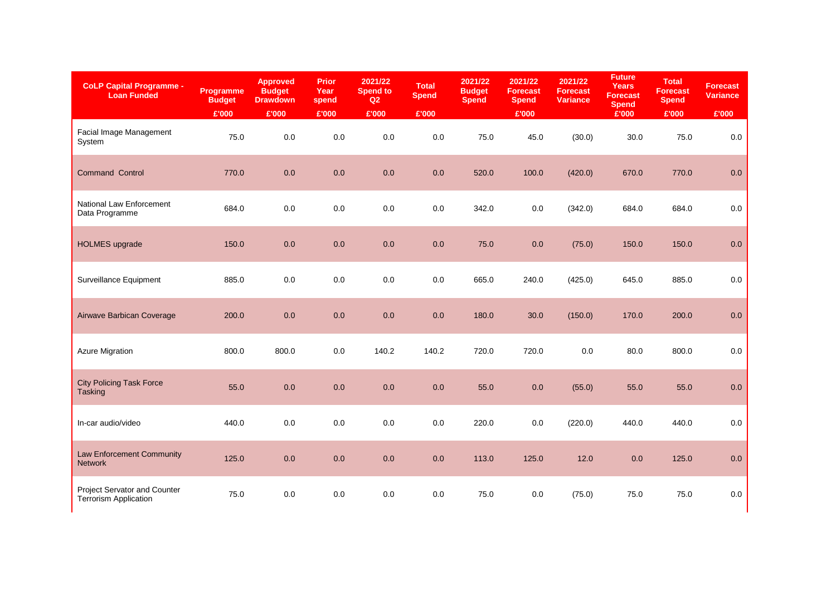| <b>CoLP Capital Programme -</b><br><b>Loan Funded</b>        | <b>Programme</b><br><b>Budget</b> | <b>Approved</b><br><b>Budget</b><br><b>Drawdown</b> | <b>Prior</b><br>Year<br>spend | 2021/22<br><b>Spend to</b><br>Q2 | <b>Total</b><br><b>Spend</b> | 2021/22<br><b>Budget</b><br><b>Spend</b> | 2021/22<br><b>Forecast</b><br><b>Spend</b> | 2021/22<br><b>Forecast</b><br><b>Variance</b> | <b>Future</b><br><b>Years</b><br><b>Forecast</b><br><b>Spend</b> | <b>Total</b><br><b>Forecast</b><br><b>Spend</b> | <b>Forecast</b><br><b>Variance</b> |
|--------------------------------------------------------------|-----------------------------------|-----------------------------------------------------|-------------------------------|----------------------------------|------------------------------|------------------------------------------|--------------------------------------------|-----------------------------------------------|------------------------------------------------------------------|-------------------------------------------------|------------------------------------|
|                                                              | £'000                             | £'000                                               | £'000                         | £'000                            | £'000                        |                                          | £'000                                      |                                               | £'000                                                            | £'000                                           | £'000                              |
| Facial Image Management<br>System                            | 75.0                              | $0.0\,$                                             | 0.0                           | 0.0                              | $0.0\,$                      | 75.0                                     | 45.0                                       | (30.0)                                        | 30.0                                                             | 75.0                                            | 0.0                                |
| Command Control                                              | 770.0                             | 0.0                                                 | 0.0                           | 0.0                              | 0.0                          | 520.0                                    | 100.0                                      | (420.0)                                       | 670.0                                                            | 770.0                                           | 0.0                                |
| National Law Enforcement<br>Data Programme                   | 684.0                             | $0.0\,$                                             | $0.0\,$                       | 0.0                              | 0.0                          | 342.0                                    | 0.0                                        | (342.0)                                       | 684.0                                                            | 684.0                                           | 0.0                                |
| <b>HOLMES</b> upgrade                                        | 150.0                             | 0.0                                                 | 0.0                           | 0.0                              | 0.0                          | 75.0                                     | 0.0                                        | (75.0)                                        | 150.0                                                            | 150.0                                           | 0.0                                |
| Surveillance Equipment                                       | 885.0                             | 0.0                                                 | $0.0\,$                       | 0.0                              | 0.0                          | 665.0                                    | 240.0                                      | (425.0)                                       | 645.0                                                            | 885.0                                           | 0.0                                |
| Airwave Barbican Coverage                                    | 200.0                             | 0.0                                                 | 0.0                           | 0.0                              | 0.0                          | 180.0                                    | 30.0                                       | (150.0)                                       | 170.0                                                            | 200.0                                           | 0.0                                |
| <b>Azure Migration</b>                                       | 800.0                             | 800.0                                               | 0.0                           | 140.2                            | 140.2                        | 720.0                                    | 720.0                                      | 0.0                                           | 80.0                                                             | 800.0                                           | 0.0                                |
| <b>City Policing Task Force</b><br>Tasking                   | 55.0                              | 0.0                                                 | 0.0                           | 0.0                              | 0.0                          | 55.0                                     | 0.0                                        | (55.0)                                        | 55.0                                                             | 55.0                                            | 0.0                                |
| In-car audio/video                                           | 440.0                             | $0.0\,$                                             | 0.0                           | 0.0                              | 0.0                          | 220.0                                    | 0.0                                        | (220.0)                                       | 440.0                                                            | 440.0                                           | 0.0                                |
| Law Enforcement Community<br><b>Network</b>                  | 125.0                             | 0.0                                                 | 0.0                           | 0.0                              | 0.0                          | 113.0                                    | 125.0                                      | 12.0                                          | 0.0                                                              | 125.0                                           | 0.0                                |
| Project Servator and Counter<br><b>Terrorism Application</b> | 75.0                              | $0.0\,$                                             | $0.0\,$                       | 0.0                              | 0.0                          | 75.0                                     | 0.0                                        | (75.0)                                        | 75.0                                                             | 75.0                                            | 0.0                                |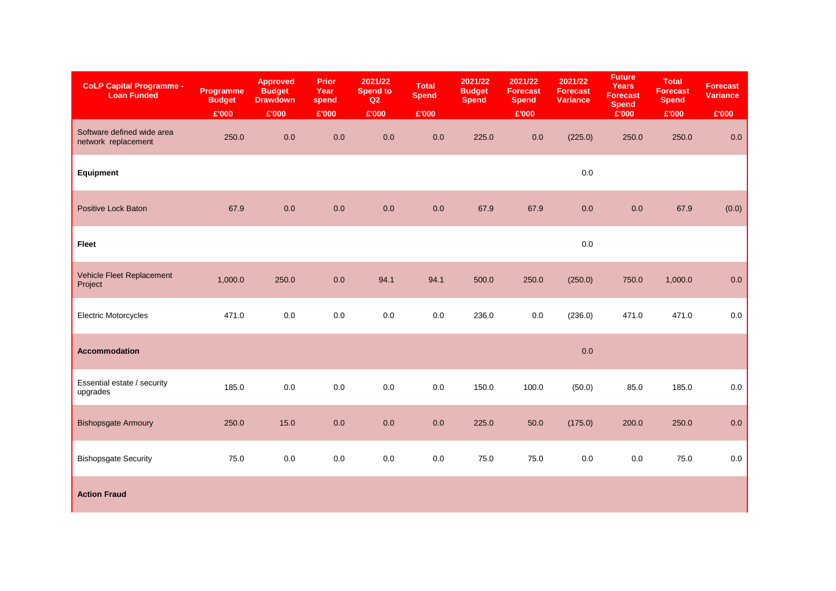| <b>CoLP Capital Programme -</b><br><b>Loan Funded</b> | Programme<br><b>Budget</b> | <b>Approved</b><br><b>Budget</b><br><b>Drawdown</b> | <b>Prior</b><br>Year<br>spend | 2021/22<br><b>Spend to</b><br>Q2 | <b>Total</b><br><b>Spend</b> | 2021/22<br><b>Budget</b><br><b>Spend</b> | 2021/22<br><b>Forecast</b><br><b>Spend</b> | 2021/22<br><b>Forecast</b><br><b>Variance</b> | <b>Future</b><br>Years<br><b>Forecast</b><br><b>Spend</b> | <b>Total</b><br><b>Forecast</b><br><b>Spend</b> | <b>Forecast</b><br><b>Variance</b> |
|-------------------------------------------------------|----------------------------|-----------------------------------------------------|-------------------------------|----------------------------------|------------------------------|------------------------------------------|--------------------------------------------|-----------------------------------------------|-----------------------------------------------------------|-------------------------------------------------|------------------------------------|
|                                                       | £'000                      | £'000                                               | £'000                         | £'000                            | £'000                        |                                          | £'000                                      |                                               | £'000                                                     | £'000                                           | £'000                              |
| Software defined wide area<br>network replacement     | 250.0                      | 0.0                                                 | 0.0                           | 0.0                              | 0.0                          | 225.0                                    | $0.0\,$                                    | (225.0)                                       | 250.0                                                     | 250.0                                           | $0.0\,$                            |
| Equipment                                             |                            |                                                     |                               |                                  |                              |                                          |                                            | 0.0                                           |                                                           |                                                 |                                    |
| <b>Positive Lock Baton</b>                            | 67.9                       | 0.0                                                 | 0.0                           | 0.0                              | 0.0                          | 67.9                                     | 67.9                                       | 0.0                                           | 0.0                                                       | 67.9                                            | (0.0)                              |
| <b>Fleet</b>                                          |                            |                                                     |                               |                                  |                              |                                          |                                            | $0.0\,$                                       |                                                           |                                                 |                                    |
| Vehicle Fleet Replacement<br>Project                  | 1,000.0                    | 250.0                                               | 0.0                           | 94.1                             | 94.1                         | 500.0                                    | 250.0                                      | (250.0)                                       | 750.0                                                     | 1,000.0                                         | $0.0\,$                            |
| <b>Electric Motorcycles</b>                           | 471.0                      | 0.0                                                 | $0.0\,$                       | $0.0\,$                          | 0.0                          | 236.0                                    | 0.0                                        | (236.0)                                       | 471.0                                                     | 471.0                                           | $0.0\,$                            |
| <b>Accommodation</b>                                  |                            |                                                     |                               |                                  |                              |                                          |                                            | $0.0\,$                                       |                                                           |                                                 |                                    |
| Essential estate / security<br>upgrades               | 185.0                      | $0.0\,$                                             | $0.0\,$                       | $0.0\,$                          | 0.0                          | 150.0                                    | 100.0                                      | (50.0)                                        | 85.0                                                      | 185.0                                           | $0.0\,$                            |
| <b>Bishopsgate Armoury</b>                            | 250.0                      | 15.0                                                | 0.0                           | $0.0\,$                          | 0.0                          | 225.0                                    | $50.0$                                     | (175.0)                                       | 200.0                                                     | 250.0                                           | 0.0                                |
| <b>Bishopsgate Security</b>                           | 75.0                       | 0.0                                                 | 0.0                           | 0.0                              | 0.0                          | 75.0                                     | 75.0                                       | 0.0                                           | 0.0                                                       | 75.0                                            | 0.0                                |
| <b>Action Fraud</b>                                   |                            |                                                     |                               |                                  |                              |                                          |                                            |                                               |                                                           |                                                 |                                    |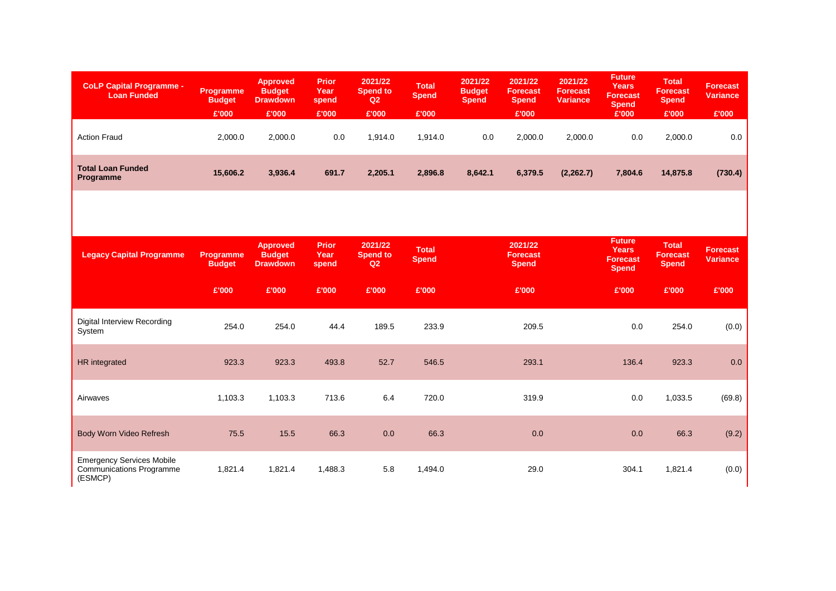| <b>CoLP Capital Programme -</b><br><b>Loan Funded</b>                          | Programme<br><b>Budget</b> | <b>Approved</b><br><b>Budget</b><br><b>Drawdown</b> | <b>Prior</b><br>Year<br>spend | 2021/22<br><b>Spend to</b><br>Q2 | <b>Total</b><br><b>Spend</b> | 2021/22<br><b>Budget</b><br><b>Spend</b> | 2021/22<br><b>Forecast</b><br><b>Spend</b> | 2021/22<br><b>Forecast</b><br><b>Variance</b> | <b>Future</b><br><b>Years</b><br><b>Forecast</b><br><b>Spend</b> | <b>Total</b><br><b>Forecast</b><br><b>Spend</b> | <b>Forecast</b><br><b>Variance</b> |
|--------------------------------------------------------------------------------|----------------------------|-----------------------------------------------------|-------------------------------|----------------------------------|------------------------------|------------------------------------------|--------------------------------------------|-----------------------------------------------|------------------------------------------------------------------|-------------------------------------------------|------------------------------------|
|                                                                                | £'000                      | £'000                                               | £'000                         | £'000                            | £'000                        |                                          | £'000                                      |                                               | £'000                                                            | £'000                                           | £'000                              |
| <b>Action Fraud</b>                                                            | 2,000.0                    | 2,000.0                                             | 0.0                           | 1,914.0                          | 1,914.0                      | 0.0                                      | 2,000.0                                    | 2,000.0                                       | 0.0                                                              | 2,000.0                                         | 0.0                                |
| <b>Total Loan Funded</b><br>Programme                                          | 15,606.2                   | 3,936.4                                             | 691.7                         | 2,205.1                          | 2,896.8                      | 8,642.1                                  | 6,379.5                                    | (2, 262.7)                                    | 7,804.6                                                          | 14,875.8                                        | (730.4)                            |
| <b>Legacy Capital Programme</b>                                                | Programme<br><b>Budget</b> | <b>Approved</b><br><b>Budget</b><br><b>Drawdown</b> | <b>Prior</b><br>Year<br>spend | 2021/22<br><b>Spend to</b><br>Q2 | <b>Total</b><br><b>Spend</b> |                                          | 2021/22<br><b>Forecast</b><br><b>Spend</b> |                                               | <b>Future</b><br><b>Years</b><br><b>Forecast</b><br><b>Spend</b> | <b>Total</b><br><b>Forecast</b><br><b>Spend</b> | <b>Forecast</b><br><b>Variance</b> |
|                                                                                | £'000                      | £'000                                               | £'000                         | £'000                            | £'000                        |                                          | £'000                                      |                                               | £'000                                                            | £'000                                           | £'000                              |
| Digital Interview Recording<br>System                                          | 254.0                      | 254.0                                               | 44.4                          | 189.5                            | 233.9                        |                                          | 209.5                                      |                                               | 0.0                                                              | 254.0                                           | (0.0)                              |
| HR integrated                                                                  | 923.3                      | 923.3                                               | 493.8                         | 52.7                             | 546.5                        |                                          | 293.1                                      |                                               | 136.4                                                            | 923.3                                           | 0.0                                |
| Airwaves                                                                       | 1,103.3                    | 1,103.3                                             | 713.6                         | 6.4                              | 720.0                        |                                          | 319.9                                      |                                               | 0.0                                                              | 1,033.5                                         | (69.8)                             |
| Body Worn Video Refresh                                                        | 75.5                       | 15.5                                                | 66.3                          | 0.0                              | 66.3                         |                                          | 0.0                                        |                                               | 0.0                                                              | 66.3                                            | (9.2)                              |
| <b>Emergency Services Mobile</b><br><b>Communications Programme</b><br>(ESMCP) | 1,821.4                    | 1,821.4                                             | 1,488.3                       | 5.8                              | 1,494.0                      |                                          | 29.0                                       |                                               | 304.1                                                            | 1,821.4                                         | (0.0)                              |